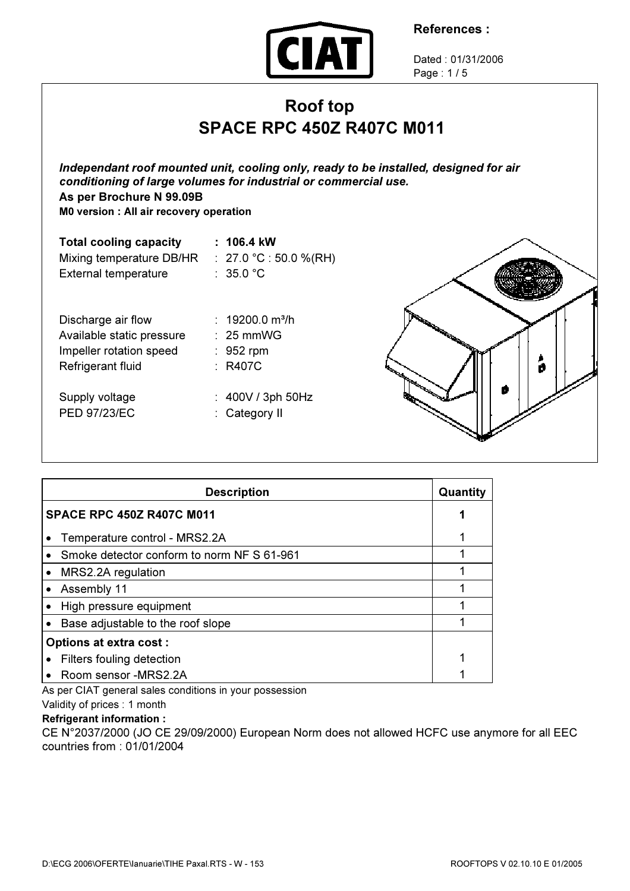

Dated : 01/31/2006 Page : 1 / 5

# Roof top SPACE RPC 450Z R407C M011

Independant roof mounted unit, cooling only, ready to be installed, designed for air conditioning of large volumes for industrial or commercial use. As per Brochure N 99.09B

M0 version : All air recovery operation

| <b>Total cooling capacity</b> | : 106.4 kW                 |
|-------------------------------|----------------------------|
| Mixing temperature DB/HR      | : $27.0 °C$ : 50.0 %(RH)   |
| <b>External temperature</b>   | : 35.0 $^{\circ}$ C        |
| Discharge air flow            | $: 19200.0 \text{ m}^3\/h$ |
| Available static pressure     | $\therefore$ 25 mmWG       |
| Impeller rotation speed       | $\therefore$ 952 rpm       |
| Refrigerant fluid             | : R407C                    |
| Supply voltage                | : $400V / 3ph 50Hz$        |
| <b>PED 97/23/EC</b>           | : Category II              |



|                                  | <b>Description</b>                         | Quantity |  |
|----------------------------------|--------------------------------------------|----------|--|
| <b>SPACE RPC 450Z R407C M011</b> |                                            |          |  |
|                                  | Temperature control - MRS2.2A              |          |  |
|                                  | Smoke detector conform to norm NF S 61-961 |          |  |
|                                  | MRS2.2A regulation                         |          |  |
|                                  | Assembly 11                                |          |  |
|                                  | High pressure equipment                    |          |  |
|                                  | Base adjustable to the roof slope          |          |  |
| <b>Options at extra cost:</b>    |                                            |          |  |
|                                  | Filters fouling detection                  |          |  |
|                                  | Room sensor -MRS2.2A                       |          |  |

As per CIAT general sales conditions in your possession

# Validity of prices : 1 month

#### Refrigerant information :

CE N°2037/2000 (JO CE 29/09/2000) European Norm does not allowed HCFC use anymore for all EEC countries from : 01/01/2004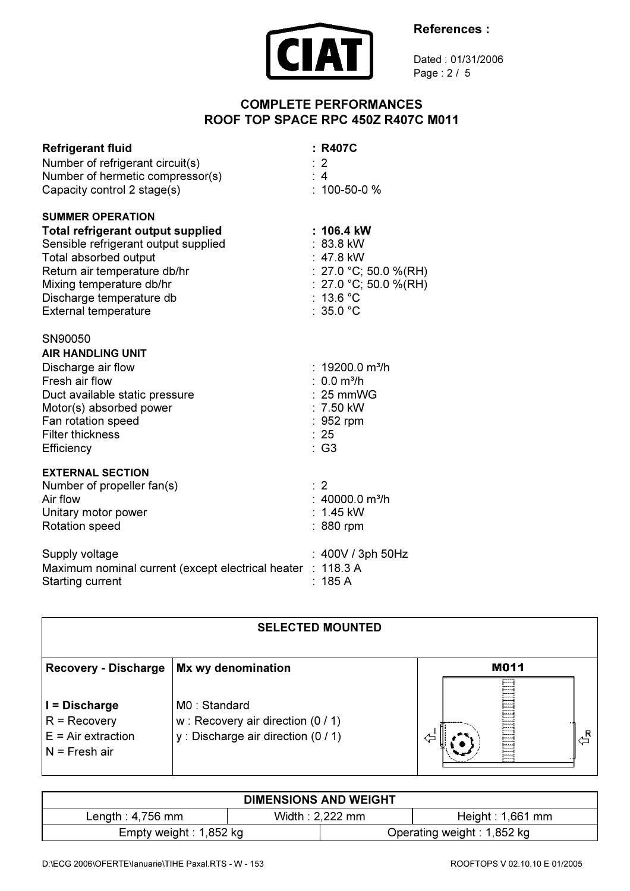



Dated : 01/31/2006 Page : 2 / 5

# COMPLETE PERFORMANCES ROOF TOP SPACE RPC 450Z R407C M011

| <b>Refrigerant fluid</b><br>Number of refrigerant circuit(s)<br>Number of hermetic compressor(s)<br>Capacity control 2 stage(s)                                                                                                                      | : R407C<br>: 2<br>: 4<br>$: 100 - 50 - 0 %$                                                                                  |
|------------------------------------------------------------------------------------------------------------------------------------------------------------------------------------------------------------------------------------------------------|------------------------------------------------------------------------------------------------------------------------------|
| <b>SUMMER OPERATION</b><br>Total refrigerant output supplied<br>Sensible refrigerant output supplied<br>Total absorbed output<br>Return air temperature db/hr<br>Mixing temperature db/hr<br>Discharge temperature db<br><b>External temperature</b> | : 106.4 kW<br>$: 83.8$ kW<br>: 47.8 kW<br>: 27.0 °C; 50.0 %(RH)<br>: 27.0 °C; 50.0 %(RH)<br>13.6 $^{\circ}$ C<br>: $35.0 °C$ |
| SN90050<br><b>AIR HANDLING UNIT</b><br>Discharge air flow<br>Fresh air flow<br>Duct available static pressure<br>Motor(s) absorbed power<br>Fan rotation speed<br><b>Filter thickness</b><br>Efficiency                                              | : $19200.0 \text{ m}^3/h$<br>: $0.0 \text{ m}^3/h$<br>$: 25$ mmWG<br>$: 7.50$ kW<br>$: 952$ rpm<br>: 25<br>$:$ G3            |
| <b>EXTERNAL SECTION</b><br>Number of propeller fan(s)<br>Air flow<br>Unitary motor power<br>Rotation speed                                                                                                                                           | $\therefore$ 2<br>: $40000.0$ m <sup>3</sup> /h<br>$: 1.45$ kW<br>: 880 rpm                                                  |
| Supply voltage<br>Maximum nominal current (except electrical heater : 118.3 A<br><b>Starting current</b>                                                                                                                                             | : 400V / 3ph 50Hz<br>185 A                                                                                                   |

#### SELECTED MOUNTED M011 Recovery - Discharge Mx wy denomination I = Discharge M0 : Standard R = Recovery w : Recovery air direction (0 / 1) 십  $\overline{\mathbb{G}}$ y : Discharge air direction (0 / 1)  $E = Air extraction$ N = Fresh air

| <b>DIMENSIONS AND WEIGHT</b> |                   |                            |                     |  |  |  |  |
|------------------------------|-------------------|----------------------------|---------------------|--|--|--|--|
| Length : $4,756$ mm          | Width: $2.222$ mm |                            | Height : $1,661$ mm |  |  |  |  |
| Empty weight : $1,852$ kg    |                   | Operating weight: 1,852 kg |                     |  |  |  |  |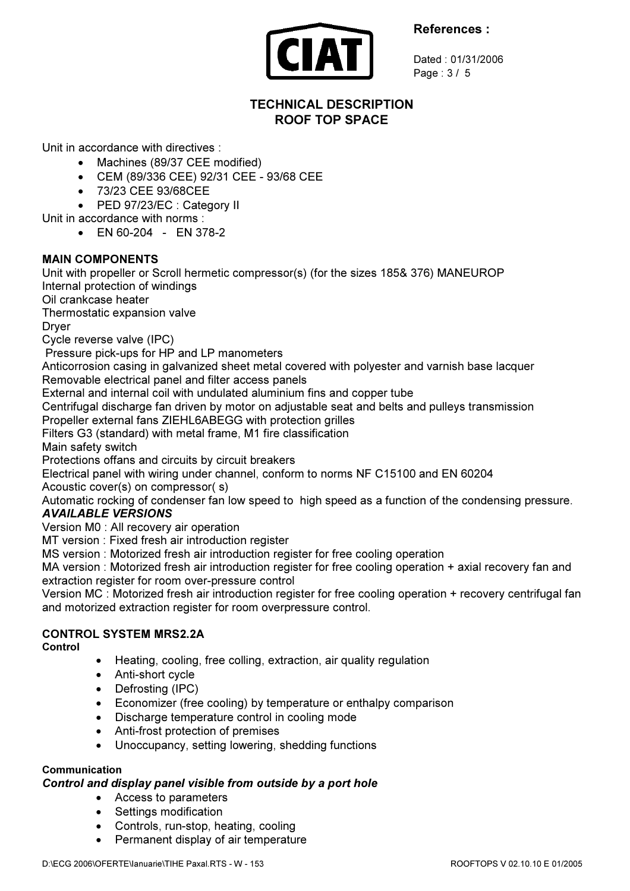

Dated : 01/31/2006 Page : 3 / 5

# TECHNICAL DESCRIPTION ROOF TOP SPACE

Unit in accordance with directives :

- Machines (89/37 CEE modified)
- CEM (89/336 CEE) 92/31 CEE 93/68 CEE
- 73/23 CEE 93/68CEE

• PED 97/23/EC : Category II

- Unit in accordance with norms :
	- $FN 60-204 FN 378-2$

### MAIN COMPONENTS

Unit with propeller or Scroll hermetic compressor(s) (for the sizes 185& 376) MANEUROP Internal protection of windings

Oil crankcase heater

Thermostatic expansion valve

Dryer

Cycle reverse valve (IPC)

Pressure pick-ups for HP and LP manometers

Anticorrosion casing in galvanized sheet metal covered with polyester and varnish base lacquer Removable electrical panel and filter access panels

External and internal coil with undulated aluminium fins and copper tube

Centrifugal discharge fan driven by motor on adjustable seat and belts and pulleys transmission

Propeller external fans ZIEHL6ABEGG with protection grilles

Filters G3 (standard) with metal frame, M1 fire classification

Main safety switch

Protections offans and circuits by circuit breakers

Electrical panel with wiring under channel, conform to norms NF C15100 and EN 60204

Acoustic cover(s) on compressor( s)

Automatic rocking of condenser fan low speed to high speed as a function of the condensing pressure.

# AVAILABLE VERSIONS

Version M0 : All recovery air operation

MT version : Fixed fresh air introduction register

MS version : Motorized fresh air introduction register for free cooling operation

MA version : Motorized fresh air introduction register for free cooling operation + axial recovery fan and extraction register for room over-pressure control

Version MC : Motorized fresh air introduction register for free cooling operation + recovery centrifugal fan and motorized extraction register for room overpressure control.

# CONTROL SYSTEM MRS2.2A

Control

- Heating, cooling, free colling, extraction, air quality regulation
- Anti-short cycle
- Defrosting (IPC)
- Economizer (free cooling) by temperature or enthalpy comparison
- Discharge temperature control in cooling mode
- Anti-frost protection of premises
- Unoccupancy, setting lowering, shedding functions

#### Communication

#### Control and display panel visible from outside by a port hole

- Access to parameters
- Settings modification
- Controls, run-stop, heating, cooling
- Permanent display of air temperature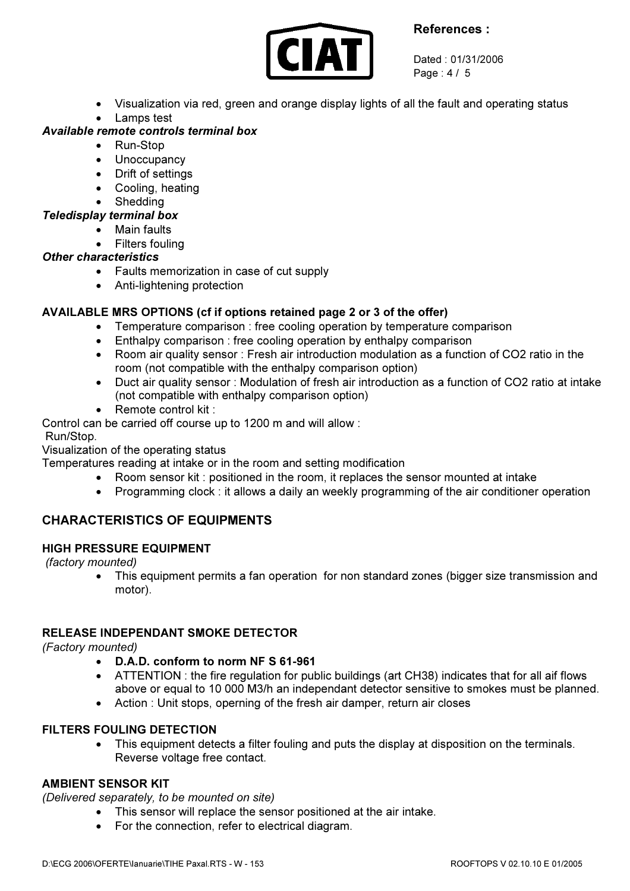

Dated : 01/31/2006 Page : 4 / 5

- Visualization via red, green and orange display lights of all the fault and operating status
- Lamps test

# Available remote controls terminal box

- Run-Stop
- Unoccupancy
- Drift of settings
- Cooling, heating
- **Shedding**
- Teledisplay terminal box
	- Main faults
	- Filters fouling

#### Other characteristics

- Faults memorization in case of cut supply
- Anti-lightening protection

# AVAILABLE MRS OPTIONS (cf if options retained page 2 or 3 of the offer)

- Temperature comparison : free cooling operation by temperature comparison
- Enthalpy comparison : free cooling operation by enthalpy comparison
- Room air quality sensor : Fresh air introduction modulation as a function of CO2 ratio in the room (not compatible with the enthalpy comparison option)
- Duct air quality sensor : Modulation of fresh air introduction as a function of CO2 ratio at intake (not compatible with enthalpy comparison option)
- Remote control kit :

Control can be carried off course up to 1200 m and will allow :

Run/Stop.

Visualization of the operating status

Temperatures reading at intake or in the room and setting modification

- Room sensor kit : positioned in the room, it replaces the sensor mounted at intake
- Programming clock : it allows a daily an weekly programming of the air conditioner operation

# CHARACTERISTICS OF EQUIPMENTS

#### HIGH PRESSURE EQUIPMENT

(factory mounted)

• This equipment permits a fan operation for non standard zones (bigger size transmission and motor).

#### RELEASE INDEPENDANT SMOKE DETECTOR

(Factory mounted)

- D.A.D. conform to norm NF S 61-961
- ATTENTION : the fire regulation for public buildings (art CH38) indicates that for all aif flows above or equal to 10 000 M3/h an independant detector sensitive to smokes must be planned.
- Action : Unit stops, operning of the fresh air damper, return air closes

# FILTERS FOULING DETECTION

• This equipment detects a filter fouling and puts the display at disposition on the terminals. Reverse voltage free contact.

# AMBIENT SENSOR KIT

(Delivered separately, to be mounted on site)

- This sensor will replace the sensor positioned at the air intake.
- For the connection, refer to electrical diagram.